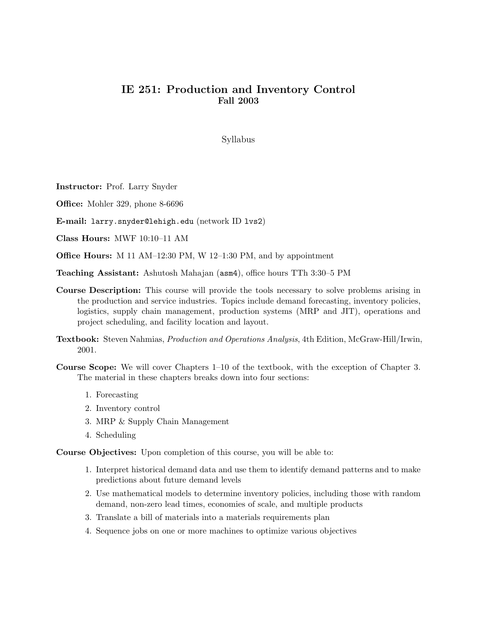## IE 251: Production and Inventory Control Fall 2003

Syllabus

Instructor: Prof. Larry Snyder

Office: Mohler 329, phone 8-6696

E-mail: larry.snyder@lehigh.edu (network ID lvs2)

Class Hours: MWF 10:10–11 AM

Office Hours: M 11 AM–12:30 PM, W 12–1:30 PM, and by appointment

Teaching Assistant: Ashutosh Mahajan (asm4), office hours TTh 3:30–5 PM

- Course Description: This course will provide the tools necessary to solve problems arising in the production and service industries. Topics include demand forecasting, inventory policies, logistics, supply chain management, production systems (MRP and JIT), operations and project scheduling, and facility location and layout.
- Textbook: Steven Nahmias, Production and Operations Analysis, 4th Edition, McGraw-Hill/Irwin, 2001.
- Course Scope: We will cover Chapters 1–10 of the textbook, with the exception of Chapter 3. The material in these chapters breaks down into four sections:
	- 1. Forecasting
	- 2. Inventory control
	- 3. MRP & Supply Chain Management
	- 4. Scheduling

Course Objectives: Upon completion of this course, you will be able to:

- 1. Interpret historical demand data and use them to identify demand patterns and to make predictions about future demand levels
- 2. Use mathematical models to determine inventory policies, including those with random demand, non-zero lead times, economies of scale, and multiple products
- 3. Translate a bill of materials into a materials requirements plan
- 4. Sequence jobs on one or more machines to optimize various objectives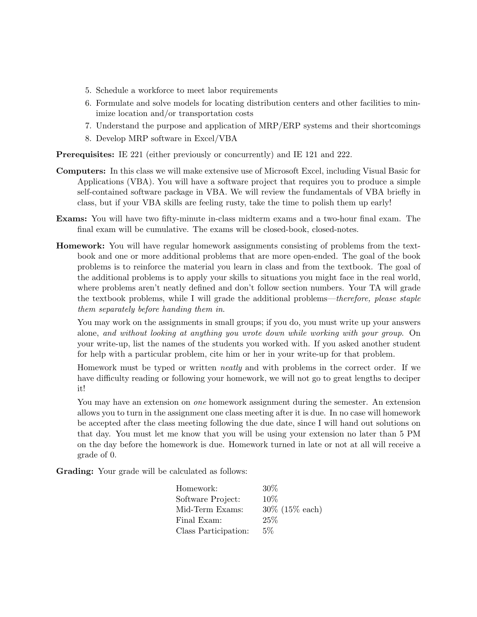- 5. Schedule a workforce to meet labor requirements
- 6. Formulate and solve models for locating distribution centers and other facilities to minimize location and/or transportation costs
- 7. Understand the purpose and application of MRP/ERP systems and their shortcomings
- 8. Develop MRP software in Excel/VBA

Prerequisites: IE 221 (either previously or concurrently) and IE 121 and 222.

- Computers: In this class we will make extensive use of Microsoft Excel, including Visual Basic for Applications (VBA). You will have a software project that requires you to produce a simple self-contained software package in VBA. We will review the fundamentals of VBA briefly in class, but if your VBA skills are feeling rusty, take the time to polish them up early!
- Exams: You will have two fifty-minute in-class midterm exams and a two-hour final exam. The final exam will be cumulative. The exams will be closed-book, closed-notes.
- Homework: You will have regular homework assignments consisting of problems from the textbook and one or more additional problems that are more open-ended. The goal of the book problems is to reinforce the material you learn in class and from the textbook. The goal of the additional problems is to apply your skills to situations you might face in the real world, where problems aren't neatly defined and don't follow section numbers. Your TA will grade the textbook problems, while I will grade the additional problems—therefore, please staple them separately before handing them in.

You may work on the assignments in small groups; if you do, you must write up your answers alone, and without looking at anything you wrote down while working with your group. On your write-up, list the names of the students you worked with. If you asked another student for help with a particular problem, cite him or her in your write-up for that problem.

Homework must be typed or written neatly and with problems in the correct order. If we have difficulty reading or following your homework, we will not go to great lengths to deciper it!

You may have an extension on *one* homework assignment during the semester. An extension allows you to turn in the assignment one class meeting after it is due. In no case will homework be accepted after the class meeting following the due date, since I will hand out solutions on that day. You must let me know that you will be using your extension no later than 5 PM on the day before the homework is due. Homework turned in late or not at all will receive a grade of 0.

Grading: Your grade will be calculated as follows:

| Homework:            | $30\%$             |
|----------------------|--------------------|
| Software Project:    | $10\%$             |
| Mid-Term Exams:      | $30\%$ (15\% each) |
| Final Exam:          | 25%                |
| Class Participation: | $5\%$              |
|                      |                    |